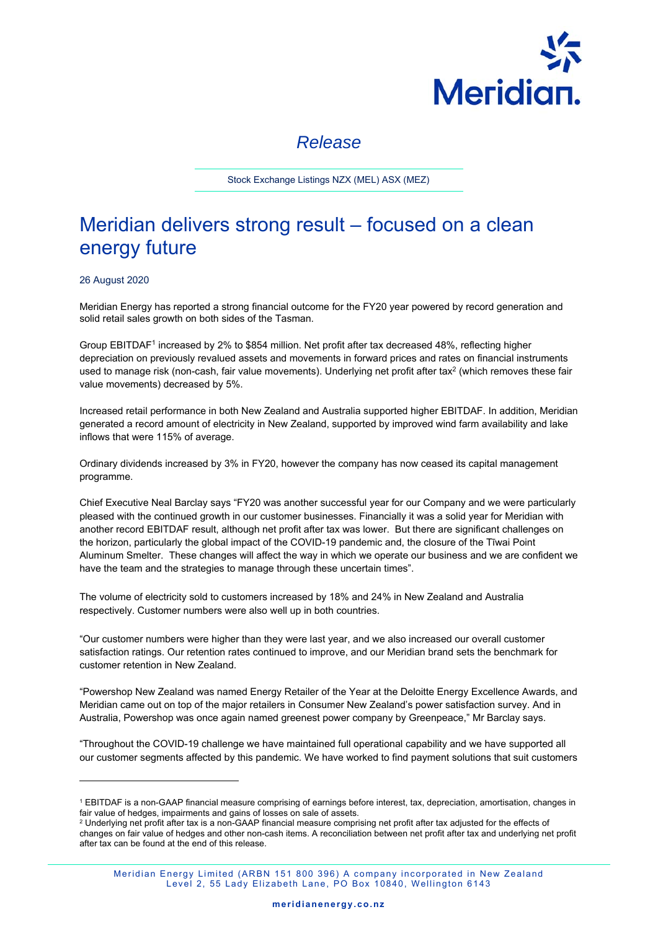

# *Release*

Stock Exchange Listings NZX (MEL) ASX (MEZ)

# Meridian delivers strong result – focused on a clean energy future

#### 26 August 2020

Meridian Energy has reported a strong financial outcome for the FY20 year powered by record generation and solid retail sales growth on both sides of the Tasman.

Group EBITDAF1 increased by 2% to \$854 million. Net profit after tax decreased 48%, reflecting higher depreciation on previously revalued assets and movements in forward prices and rates on financial instruments used to manage risk (non-cash, fair value movements). Underlying net profit after tax $2$  (which removes these fair value movements) decreased by 5%.

Increased retail performance in both New Zealand and Australia supported higher EBITDAF. In addition, Meridian generated a record amount of electricity in New Zealand, supported by improved wind farm availability and lake inflows that were 115% of average.

Ordinary dividends increased by 3% in FY20, however the company has now ceased its capital management programme.

Chief Executive Neal Barclay says "FY20 was another successful year for our Company and we were particularly pleased with the continued growth in our customer businesses. Financially it was a solid year for Meridian with another record EBITDAF result, although net profit after tax was lower. But there are significant challenges on the horizon, particularly the global impact of the COVID-19 pandemic and, the closure of the Tīwai Point Aluminum Smelter. These changes will affect the way in which we operate our business and we are confident we have the team and the strategies to manage through these uncertain times".

The volume of electricity sold to customers increased by 18% and 24% in New Zealand and Australia respectively. Customer numbers were also well up in both countries.

"Our customer numbers were higher than they were last year, and we also increased our overall customer satisfaction ratings. Our retention rates continued to improve, and our Meridian brand sets the benchmark for customer retention in New Zealand.

"Powershop New Zealand was named Energy Retailer of the Year at the Deloitte Energy Excellence Awards, and Meridian came out on top of the major retailers in Consumer New Zealand's power satisfaction survey. And in Australia, Powershop was once again named greenest power company by Greenpeace," Mr Barclay says.

"Throughout the COVID-19 challenge we have maintained full operational capability and we have supported all our customer segments affected by this pandemic. We have worked to find payment solutions that suit customers

<sup>&</sup>lt;sup>1</sup> EBITDAF is a non-GAAP financial measure comprising of earnings before interest, tax, depreciation, amortisation, changes in<br>fair value of hedges, impairments and gains of losses on sale of assets.

<sup>&</sup>lt;sup>2</sup> Underlying net profit after tax is a non-GAAP financial measure comprising net profit after tax adjusted for the effects of changes on fair value of hedges and other non-cash items. A reconciliation between net profit after tax and underlying net profit after tax can be found at the end of this release.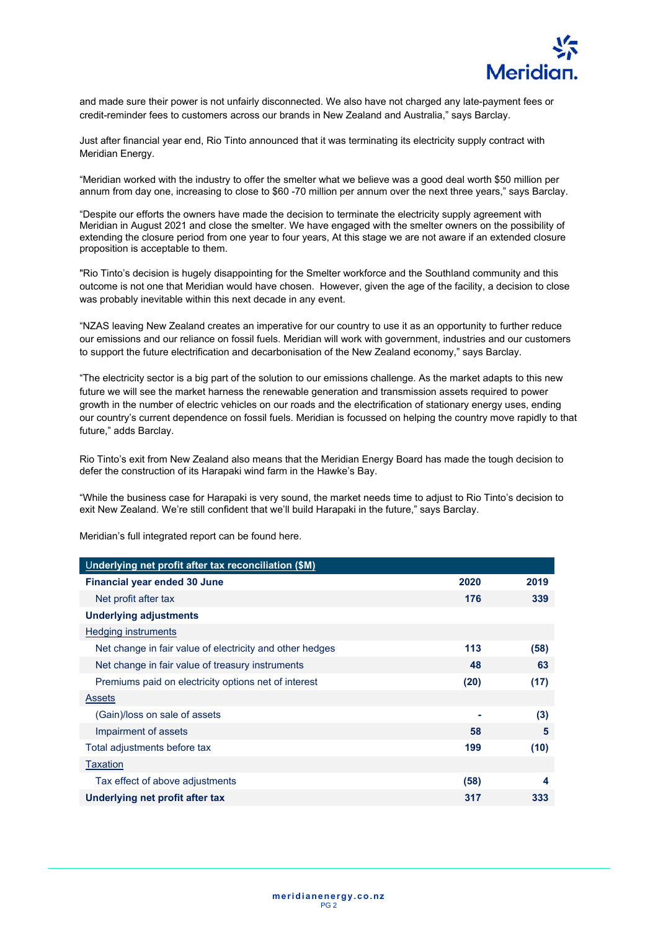

and made sure their power is not unfairly disconnected. We also have not charged any late-payment fees or credit-reminder fees to customers across our brands in New Zealand and Australia," says Barclay.

Just after financial year end, Rio Tinto announced that it was terminating its electricity supply contract with Meridian Energy.

"Meridian worked with the industry to offer the smelter what we believe was a good deal worth \$50 million per annum from day one, increasing to close to \$60 -70 million per annum over the next three years," says Barclay.

"Despite our efforts the owners have made the decision to terminate the electricity supply agreement with Meridian in August 2021 and close the smelter. We have engaged with the smelter owners on the possibility of extending the closure period from one year to four years, At this stage we are not aware if an extended closure proposition is acceptable to them.

"Rio Tinto's decision is hugely disappointing for the Smelter workforce and the Southland community and this outcome is not one that Meridian would have chosen. However, given the age of the facility, a decision to close was probably inevitable within this next decade in any event.

"NZAS leaving New Zealand creates an imperative for our country to use it as an opportunity to further reduce our emissions and our reliance on fossil fuels. Meridian will work with government, industries and our customers to support the future electrification and decarbonisation of the New Zealand economy," says Barclay.

"The electricity sector is a big part of the solution to our emissions challenge. As the market adapts to this new future we will see the market harness the renewable generation and transmission assets required to power growth in the number of electric vehicles on our roads and the electrification of stationary energy uses, ending our country's current dependence on fossil fuels. Meridian is focussed on helping the country move rapidly to that future," adds Barclay.

Rio Tinto's exit from New Zealand also means that the Meridian Energy Board has made the tough decision to defer the construction of its Harapaki wind farm in the Hawke's Bay.

"While the business case for Harapaki is very sound, the market needs time to adjust to Rio Tinto's decision to exit New Zealand. We're still confident that we'll build Harapaki in the future," says Barclay.

| Underlying net profit after tax reconciliation (\$M)     |      |      |
|----------------------------------------------------------|------|------|
| Financial year ended 30 June                             | 2020 | 2019 |
| Net profit after tax                                     | 176  | 339  |
| <b>Underlying adjustments</b>                            |      |      |
| <b>Hedging instruments</b>                               |      |      |
| Net change in fair value of electricity and other hedges | 113  | (58) |
| Net change in fair value of treasury instruments         | 48   | 63   |
| Premiums paid on electricity options net of interest     | (20) | (17) |
| <b>Assets</b>                                            |      |      |
| (Gain)/loss on sale of assets                            |      | (3)  |
| Impairment of assets                                     | 58   | 5    |
| Total adjustments before tax                             | 199  | (10) |
| <b>Taxation</b>                                          |      |      |
| Tax effect of above adjustments                          | (58) | 4    |
| Underlying net profit after tax                          | 317  | 333  |
|                                                          |      |      |

Meridian's full integrated report can be found here.